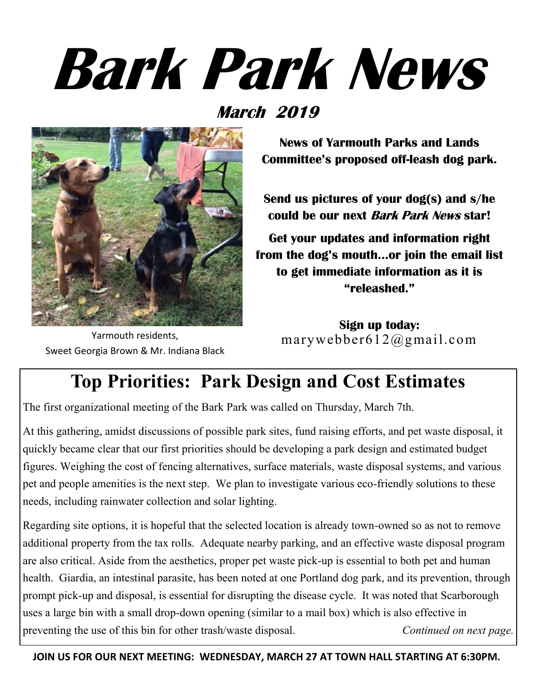# **Bark Park News**

#### **March 2019**



Yarmouth residents, Sweet Georgia Brown & Mr. Indiana Black

**News of Yarmouth Parks and Lands Committee's proposed off-leash dog park.**

**Send us pictures of your dog(s) and s/he could be our next Bark Park News star!**

**Get your updates and information right from the dog's mouth...or join the email list to get immediate information as it is "releashed."**

**Sign up today:** marywebber612@gmail.com

## **Top Priorities: Park Design and Cost Estimates**

The first organizational meeting of the Bark Park was called on Thursday, March 7th.

At this gathering, amidst discussions of possible park sites, fund raising efforts, and pet waste disposal, it quickly became clear that our first priorities should be developing a park design and estimated budget figures. Weighing the cost of fencing alternatives, surface materials, waste disposal systems, and various pet and people amenities is the next step. We plan to investigate various eco-friendly solutions to these needs, including rainwater collection and solar lighting.

Regarding site options, it is hopeful that the selected location is already town-owned so as not to remove additional property from the tax rolls. Adequate nearby parking, and an effective waste disposal program are also critical. Aside from the aesthetics, proper pet waste pick-up is essential to both pet and human health. Giardia, an intestinal parasite, has been noted at one Portland dog park, and its prevention, through prompt pick-up and disposal, is essential for disrupting the disease cycle. It was noted that Scarborough uses a large bin with a small drop-down opening (similar to a mail box) which is also effective in preventing the use of this bin for other trash/waste disposal. *Continued on next page*.